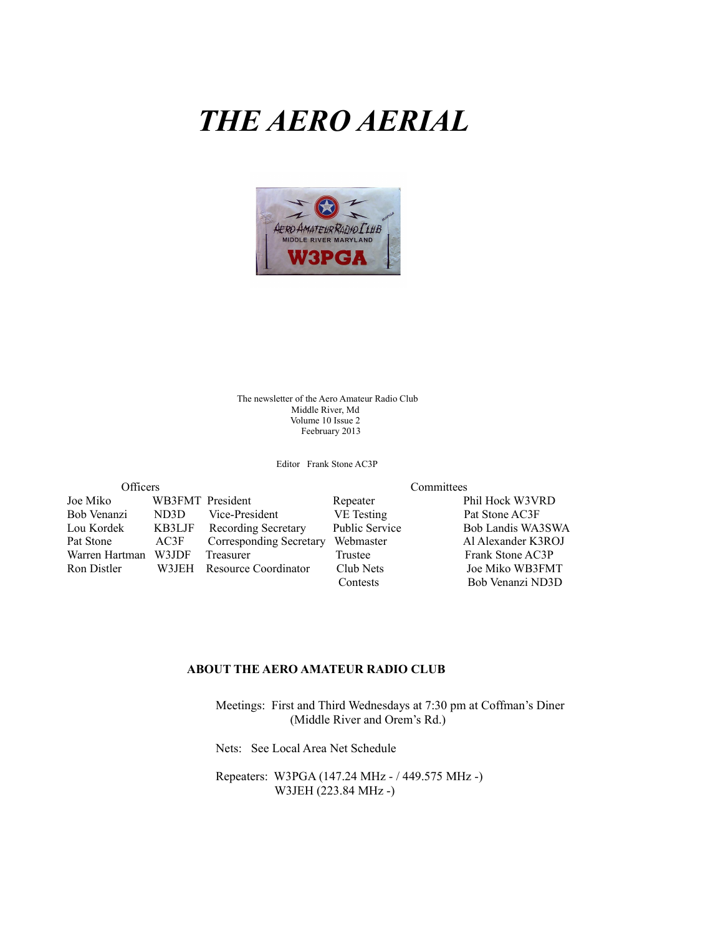# *THE AERO AERIAL*



The newsletter of the Aero Amateur Radio Club Middle River, Md Volume 10 Issue 2 Feebruary 2013

Editor Frank Stone AC3P

| Officers       |                  |                         |                                    |
|----------------|------------------|-------------------------|------------------------------------|
| Joe Miko       | WB3FMT President |                         | Repeater                           |
| Bob Venanzi    | ND3D             | Vice-President          | <b>VE</b> Testing                  |
| Lou Kordek     | KB3LJF           | Recording Secretary     | Public Service                     |
| Pat Stone      | AC3F             | Corresponding Secretary | Webmaster                          |
| Warren Hartman | W3JDF            | Treasurer               | Trustee                            |
| Ron Distler    | W3JEH            | Resource Coordinator    | Club Nets                          |
|                |                  |                         | $\sim$ $\sim$ $\sim$ $\sim$ $\sim$ |

Committees

Phil Hock W3VRD Pat Stone AC3F Bob Landis WA3SWA Al Alexander K3ROJ Frank Stone AC3P Joe Miko WB3FMT Contests Bob Venanzi ND3D

#### **ABOUT THE AERO AMATEUR RADIO CLUB**

 Meetings: First and Third Wednesdays at 7:30 pm at Coffman's Diner (Middle River and Orem's Rd.)

Nets: See Local Area Net Schedule

 Repeaters: W3PGA (147.24 MHz - / 449.575 MHz -) W3JEH (223.84 MHz -)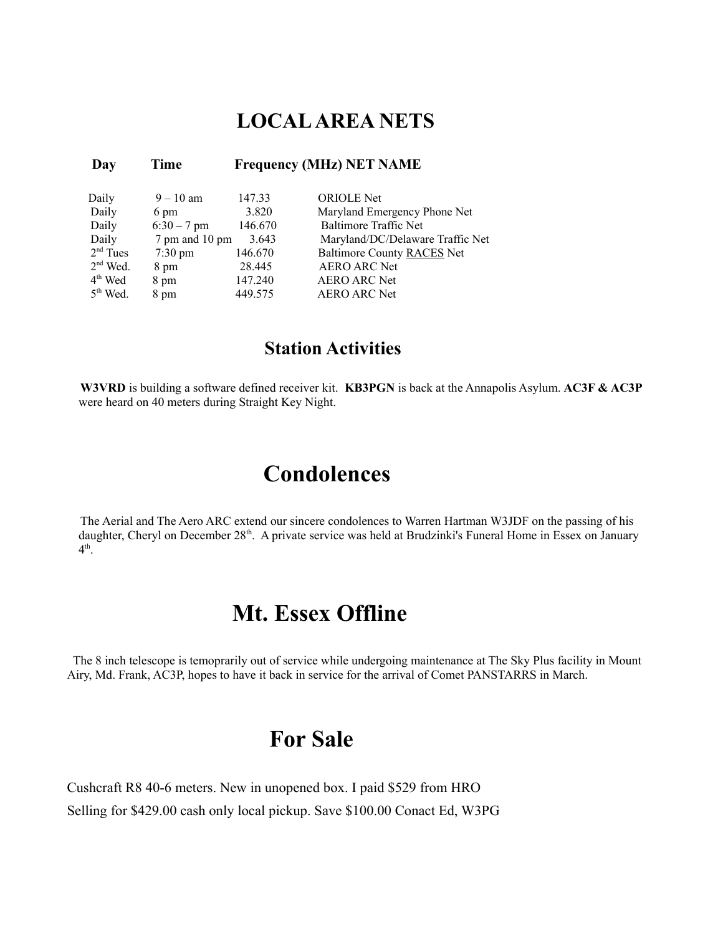### **LOCAL AREA NETS**

| Day                 | Time              |         | <b>Frequency (MHz) NET NAME</b>  |
|---------------------|-------------------|---------|----------------------------------|
| Daily               | $9 - 10$ am       | 147.33  | <b>ORIOLE</b> Net                |
| Daily               | 6 pm              | 3.820   | Maryland Emergency Phone Net     |
| Daily               | $6:30 - 7$ pm     | 146.670 | <b>Baltimore Traffic Net</b>     |
| Daily               | 7 pm and 10 pm    | 3.643   | Maryland/DC/Delaware Traffic Net |
| $2nd$ Tues          | $7:30 \text{ pm}$ | 146.670 | Baltimore County RACES Net       |
| $2nd$ Wed.          | 8 pm              | 28.445  | <b>AERO ARC Net</b>              |
| 4 <sup>th</sup> Wed | 8 pm              | 147.240 | <b>AERO ARC Net</b>              |
| $5th$ Wed.          | 8 pm              | 449.575 | <b>AERO ARC Net</b>              |

### **Station Activities**

**W3VRD** is building a software defined receiver kit. **KB3PGN** is back at the Annapolis Asylum. **AC3F & AC3P** were heard on 40 meters during Straight Key Night.

## **Condolences**

The Aerial and The Aero ARC extend our sincere condolences to Warren Hartman W3JDF on the passing of his daughter, Cheryl on December 28<sup>th</sup>. A private service was held at Brudzinki's Funeral Home in Essex on January  $4^{\text{th}}$ .

## **Mt. Essex Offline**

The 8 inch telescope is temoprarily out of service while undergoing maintenance at The Sky Plus facility in Mount Airy, Md. Frank, AC3P, hopes to have it back in service for the arrival of Comet PANSTARRS in March.

## **For Sale**

Cushcraft R8 40-6 meters. New in unopened box. I paid \$529 from HRO Selling for \$429.00 cash only local pickup. Save \$100.00 Conact Ed, W3PG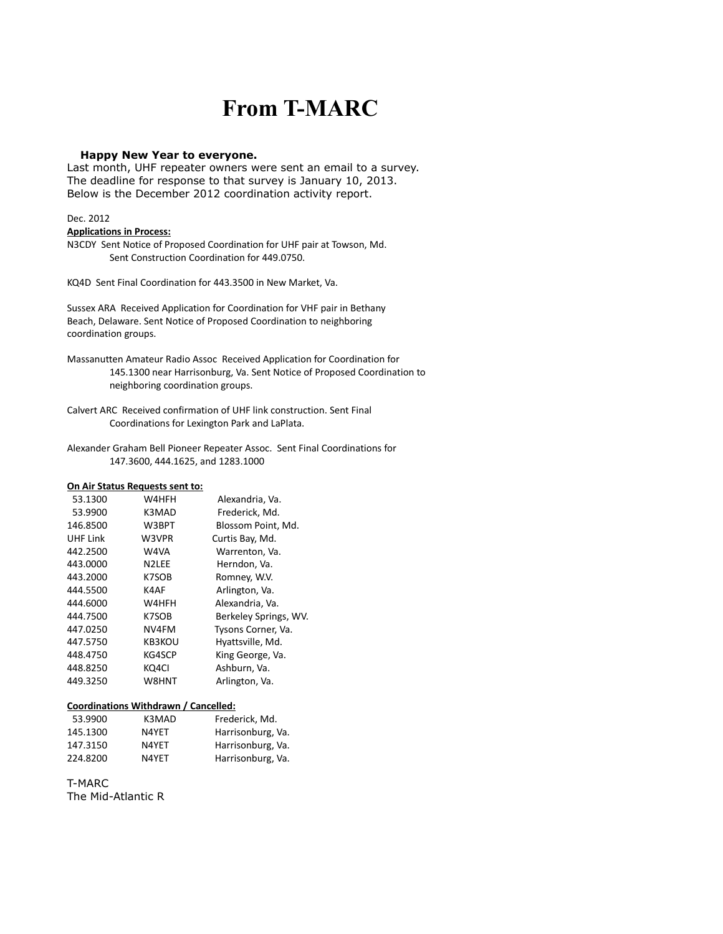## **From T-MARC**

#### **Happy New Year to everyone.**

Last month, UHF repeater owners were sent an email to a survey. The deadline for response to that survey is January 10, 2013. Below is the December 2012 coordination activity report.

#### Dec. 2012

#### **Applications in Process:**

N3CDY Sent Notice of Proposed Coordination for UHF pair at Towson, Md. Sent Construction Coordination for 449.0750.

KQ4D Sent Final Coordination for 443.3500 in New Market, Va.

Sussex ARA Received Application for Coordination for VHF pair in Bethany Beach, Delaware. Sent Notice of Proposed Coordination to neighboring coordination groups.

Massanutten Amateur Radio Assoc Received Application for Coordination for 145.1300 near Harrisonburg, Va. Sent Notice of Proposed Coordination to neighboring coordination groups.

Calvert ARC Received confirmation of UHF link construction. Sent Final Coordinations for Lexington Park and LaPlata.

Alexander Graham Bell Pioneer Repeater Assoc. Sent Final Coordinations for 147.3600, 444.1625, and 1283.1000

#### **On Air Status Requests sent to:**

| 53.1300  | W4HFH              | Alexandria, Va.       |
|----------|--------------------|-----------------------|
| 53.9900  | K3MAD              | Frederick, Md.        |
| 146.8500 | W3BPT              | Blossom Point, Md.    |
| UHF Link | W3VPR              | Curtis Bay, Md.       |
| 442.2500 | W4VA               | Warrenton, Va.        |
| 443.0000 | N <sub>2</sub> LEE | Herndon, Va.          |
| 443.2000 | K7SOB              | Romney, W.V.          |
| 444.5500 | K4AF               | Arlington, Va.        |
| 444.6000 | W4HFH              | Alexandria, Va.       |
| 444.7500 | K7SOB              | Berkeley Springs, WV. |
| 447.0250 | NV4FM              | Tysons Corner, Va.    |
| 447.5750 | <b>KB3KOU</b>      | Hyattsville, Md.      |
| 448.4750 | KG4SCP             | King George, Va.      |
| 448.8250 | KQ4CI              | Ashburn, Va.          |
| 449.3250 | W8HNT              | Arlington, Va.        |

#### **Coordinations Withdrawn / Cancelled:**

| 53.9900  | K3MAD | Frederick. Md.    |
|----------|-------|-------------------|
| 145.1300 | N4YFT | Harrisonburg, Va. |
| 147.3150 | N4YET | Harrisonburg, Va. |
| 224.8200 | N4YET | Harrisonburg, Va. |

T-MARC

The Mid-Atlantic R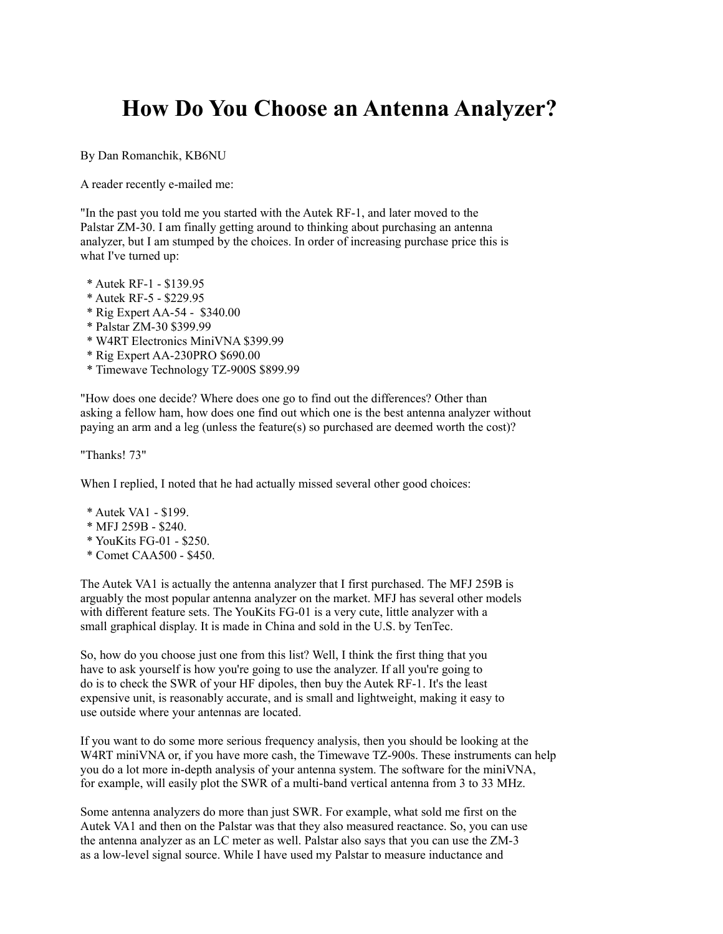## **How Do You Choose an Antenna Analyzer?**

By Dan Romanchik, KB6NU

A reader recently e-mailed me:

"In the past you told me you started with the Autek RF-1, and later moved to the Palstar ZM-30. I am finally getting around to thinking about purchasing an antenna analyzer, but I am stumped by the choices. In order of increasing purchase price this is what I've turned up:

- \* Autek RF-1 \$139.95
- \* Autek RF-5 \$229.95
- \* Rig Expert AA-54 \$340.00
- \* Palstar ZM-30 \$399.99
- \* W4RT Electronics MiniVNA \$399.99
- \* Rig Expert AA-230PRO \$690.00
- \* Timewave Technology TZ-900S \$899.99

"How does one decide? Where does one go to find out the differences? Other than asking a fellow ham, how does one find out which one is the best antenna analyzer without paying an arm and a leg (unless the feature(s) so purchased are deemed worth the cost)?

"Thanks! 73"

When I replied, I noted that he had actually missed several other good choices:

- \* Autek VA1 \$199.
- \* MFJ 259B \$240.
- \* YouKits FG-01 \$250.
- \* Comet CAA500 \$450.

The Autek VA1 is actually the antenna analyzer that I first purchased. The MFJ 259B is arguably the most popular antenna analyzer on the market. MFJ has several other models with different feature sets. The YouKits FG-01 is a very cute, little analyzer with a small graphical display. It is made in China and sold in the U.S. by TenTec.

So, how do you choose just one from this list? Well, I think the first thing that you have to ask yourself is how you're going to use the analyzer. If all you're going to do is to check the SWR of your HF dipoles, then buy the Autek RF-1. It's the least expensive unit, is reasonably accurate, and is small and lightweight, making it easy to use outside where your antennas are located.

If you want to do some more serious frequency analysis, then you should be looking at the W4RT miniVNA or, if you have more cash, the Timewave TZ-900s. These instruments can help you do a lot more in-depth analysis of your antenna system. The software for the miniVNA, for example, will easily plot the SWR of a multi-band vertical antenna from 3 to 33 MHz.

Some antenna analyzers do more than just SWR. For example, what sold me first on the Autek VA1 and then on the Palstar was that they also measured reactance. So, you can use the antenna analyzer as an LC meter as well. Palstar also says that you can use the ZM-3 as a low-level signal source. While I have used my Palstar to measure inductance and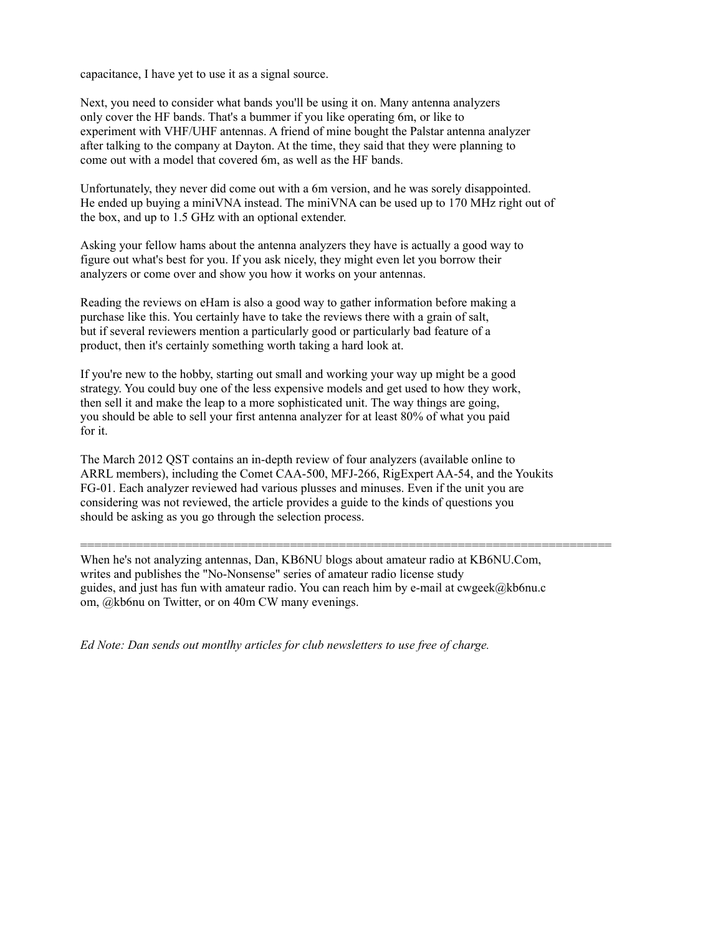capacitance, I have yet to use it as a signal source.

Next, you need to consider what bands you'll be using it on. Many antenna analyzers only cover the HF bands. That's a bummer if you like operating 6m, or like to experiment with VHF/UHF antennas. A friend of mine bought the Palstar antenna analyzer after talking to the company at Dayton. At the time, they said that they were planning to come out with a model that covered 6m, as well as the HF bands.

Unfortunately, they never did come out with a 6m version, and he was sorely disappointed. He ended up buying a miniVNA instead. The miniVNA can be used up to 170 MHz right out of the box, and up to 1.5 GHz with an optional extender.

Asking your fellow hams about the antenna analyzers they have is actually a good way to figure out what's best for you. If you ask nicely, they might even let you borrow their analyzers or come over and show you how it works on your antennas.

Reading the reviews on eHam is also a good way to gather information before making a purchase like this. You certainly have to take the reviews there with a grain of salt, but if several reviewers mention a particularly good or particularly bad feature of a product, then it's certainly something worth taking a hard look at.

If you're new to the hobby, starting out small and working your way up might be a good strategy. You could buy one of the less expensive models and get used to how they work, then sell it and make the leap to a more sophisticated unit. The way things are going, you should be able to sell your first antenna analyzer for at least 80% of what you paid for it.

The March 2012 QST contains an in-depth review of four analyzers (available online to ARRL members), including the Comet CAA-500, MFJ-266, RigExpert AA-54, and the Youkits FG-01. Each analyzer reviewed had various plusses and minuses. Even if the unit you are considering was not reviewed, the article provides a guide to the kinds of questions you should be asking as you go through the selection process.

When he's not analyzing antennas, Dan, KB6NU blogs about amateur radio at KB6NU.Com, writes and publishes the "No-Nonsense" series of amateur radio license study guides, and just has fun with amateur radio. You can reach him by e-mail at cwgeek@kb6nu.c om, @kb6nu on Twitter, or on 40m CW many evenings.

============================================================================

*Ed Note: Dan sends out montlhy articles for club newsletters to use free of charge.*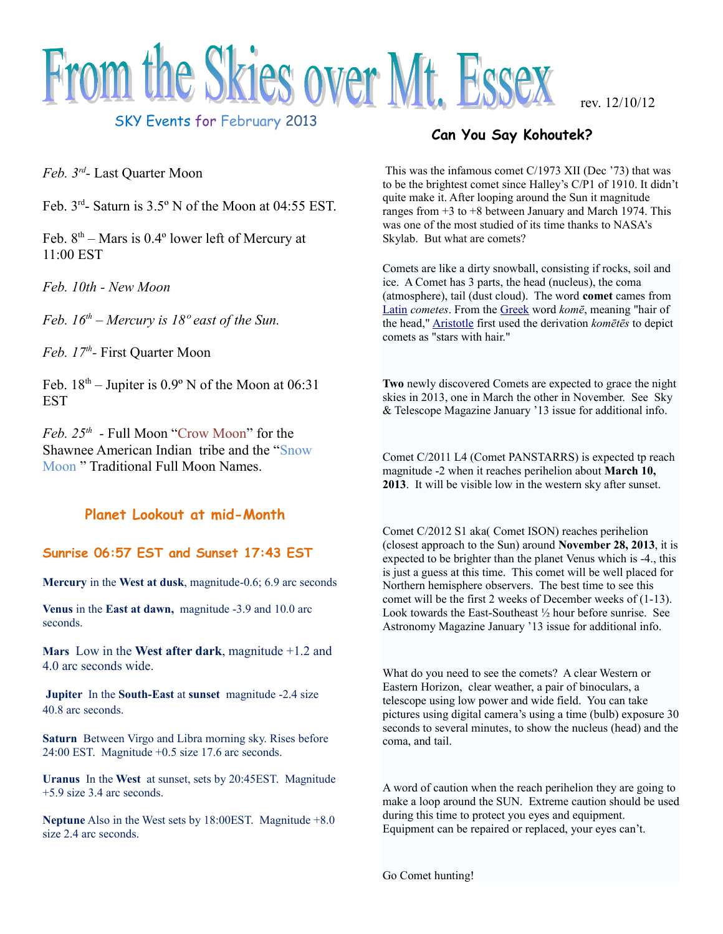

SKY Events for February 2013

*Feb. 3rd -* Last Quarter Moon

Feb. 3rd- Saturn is 3.5º N of the Moon at 04:55 EST.

Feb.  $8<sup>th</sup>$  – Mars is 0.4 $\degree$  lower left of Mercury at 11:00 EST

*Feb. 10th - New Moon*

*Feb. 16th – Mercury is 18º east of the Sun.*

*Feb. 17th -* First Quarter Moon

Feb.  $18<sup>th</sup>$  – Jupiter is  $0.9<sup>°</sup>$  N of the Moon at  $06:31$ EST

*Feb. 25th -* Full Moon "Crow Moon" for the Shawnee American Indian tribe and the "Snow Moon " Traditional Full Moon Names.

### **Planet Lookout at mid-Month**

### **Sunrise 06:57 EST and Sunset 17:43 EST**

**Mercury** in the **West at dusk**, magnitude-0.6; 6.9 arc seconds

**Venus** in the **East at dawn,** magnitude -3.9 and 10.0 arc seconds.

**Mars** Low in the **West after dark**, magnitude +1.2 and 4.0 arc seconds wide.

**Jupiter** In the **South-East** at **sunset** magnitude -2.4 size 40.8 arc seconds.

**Saturn** Between Virgo and Libra morning sky. Rises before 24:00 EST. Magnitude +0.5 size 17.6 arc seconds.

**Uranus** In the **West** at sunset, sets by 20:45EST. Magnitude +5.9 size 3.4 arc seconds.

**Neptune** Also in the West sets by 18:00EST. Magnitude +8.0 size 2.4 arc seconds.

### **Can You Say Kohoutek?**

This was the infamous comet C/1973 XII (Dec '73) that was to be the brightest comet since Halley's C/P1 of 1910. It didn't quite make it. After looping around the Sun it magnitude ranges from  $+3$  to  $+8$  between January and March 1974. This was one of the most studied of its time thanks to NASA's Skylab. But what are comets?

Comets are like a dirty snowball, consisting if rocks, soil and ice. A Comet has 3 parts, the head (nucleus), the coma (atmosphere), tail (dust cloud). The word **comet** cames from [Latin](http://en.wikipedia.org/wiki/Latin) *cometes*. From the [Greek](http://en.wikipedia.org/wiki/Greek_Language) word *komē*, meaning "hair of the head," [Aristotle](http://en.wikipedia.org/wiki/Aristotle) first used the derivation *komētēs* to depict comets as "stars with hair."

**Two** newly discovered Comets are expected to grace the night skies in 2013, one in March the other in November. See Sky & Telescope Magazine January '13 issue for additional info.

Comet C/2011 L4 (Comet PANSTARRS) is expected tp reach magnitude -2 when it reaches perihelion about **March 10, 2013**. It will be visible low in the western sky after sunset.

Comet C/2012 S1 aka( Comet ISON) reaches perihelion (closest approach to the Sun) around **November 28, 2013**, it is expected to be brighter than the planet Venus which is -4., this is just a guess at this time. This comet will be well placed for Northern hemisphere observers. The best time to see this comet will be the first 2 weeks of December weeks of (1-13). Look towards the East-Southeast ½ hour before sunrise. See Astronomy Magazine January '13 issue for additional info.

What do you need to see the comets? A clear Western or Eastern Horizon, clear weather, a pair of binoculars, a telescope using low power and wide field. You can take pictures using digital camera's using a time (bulb) exposure 30 seconds to several minutes, to show the nucleus (head) and the coma, and tail.

A word of caution when the reach perihelion they are going to make a loop around the SUN. Extreme caution should be used during this time to protect you eyes and equipment. Equipment can be repaired or replaced, your eyes can't.

Go Comet hunting!